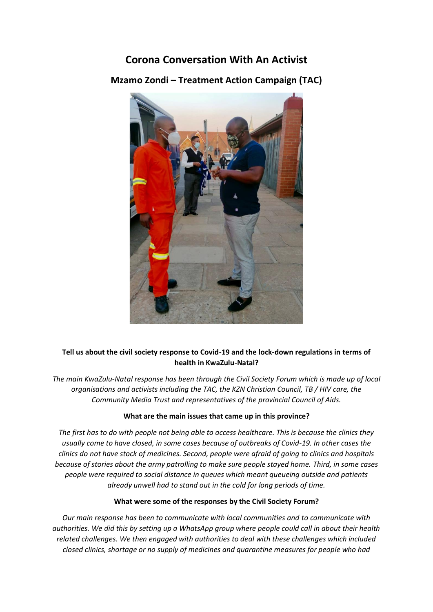# **Corona Conversation With An Activist**

## **Mzamo Zondi – Treatment Action Campaign (TAC)**



### **Tell us about the civil society response to Covid-19 and the lock-down regulations in terms of health in KwaZulu-Natal?**

*The main KwaZulu-Natal response has been through the Civil Society Forum which is made up of local organisations and activists including the TAC, the KZN Christian Council, TB / HIV care, the Community Media Trust and representatives of the provincial Council of Aids.*

#### **What are the main issues that came up in this province?**

*The first has to do with people not being able to access healthcare. This is because the clinics they usually come to have closed, in some cases because of outbreaks of Covid-19. In other cases the clinics do not have stock of medicines. Second, people were afraid of going to clinics and hospitals because of stories about the army patrolling to make sure people stayed home. Third, in some cases people were required to social distance in queues which meant queueing outside and patients already unwell had to stand out in the cold for long periods of time.*

#### **What were some of the responses by the Civil Society Forum?**

*Our main response has been to communicate with local communities and to communicate with authorities. We did this by setting up a WhatsApp group where people could call in about their health related challenges. We then engaged with authorities to deal with these challenges which included closed clinics, shortage or no supply of medicines and quarantine measures for people who had*